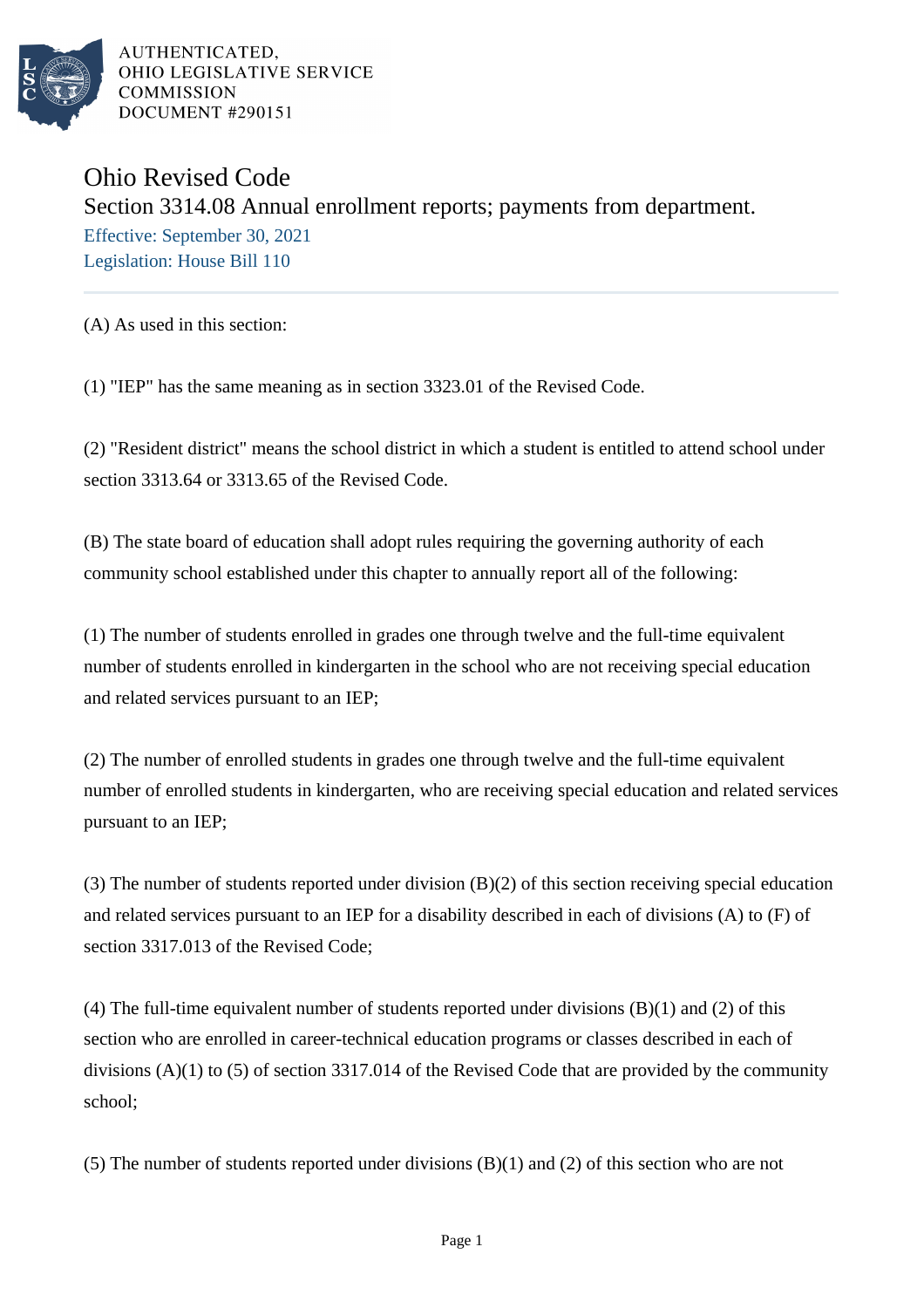

# Ohio Revised Code Section 3314.08 Annual enrollment reports; payments from department. Effective: September 30, 2021 Legislation: House Bill 110

(A) As used in this section:

(1) "IEP" has the same meaning as in section 3323.01 of the Revised Code.

(2) "Resident district" means the school district in which a student is entitled to attend school under section 3313.64 or 3313.65 of the Revised Code.

(B) The state board of education shall adopt rules requiring the governing authority of each community school established under this chapter to annually report all of the following:

(1) The number of students enrolled in grades one through twelve and the full-time equivalent number of students enrolled in kindergarten in the school who are not receiving special education and related services pursuant to an IEP;

(2) The number of enrolled students in grades one through twelve and the full-time equivalent number of enrolled students in kindergarten, who are receiving special education and related services pursuant to an IEP;

(3) The number of students reported under division (B)(2) of this section receiving special education and related services pursuant to an IEP for a disability described in each of divisions (A) to (F) of section 3317.013 of the Revised Code;

(4) The full-time equivalent number of students reported under divisions (B)(1) and (2) of this section who are enrolled in career-technical education programs or classes described in each of divisions (A)(1) to (5) of section 3317.014 of the Revised Code that are provided by the community school;

(5) The number of students reported under divisions (B)(1) and (2) of this section who are not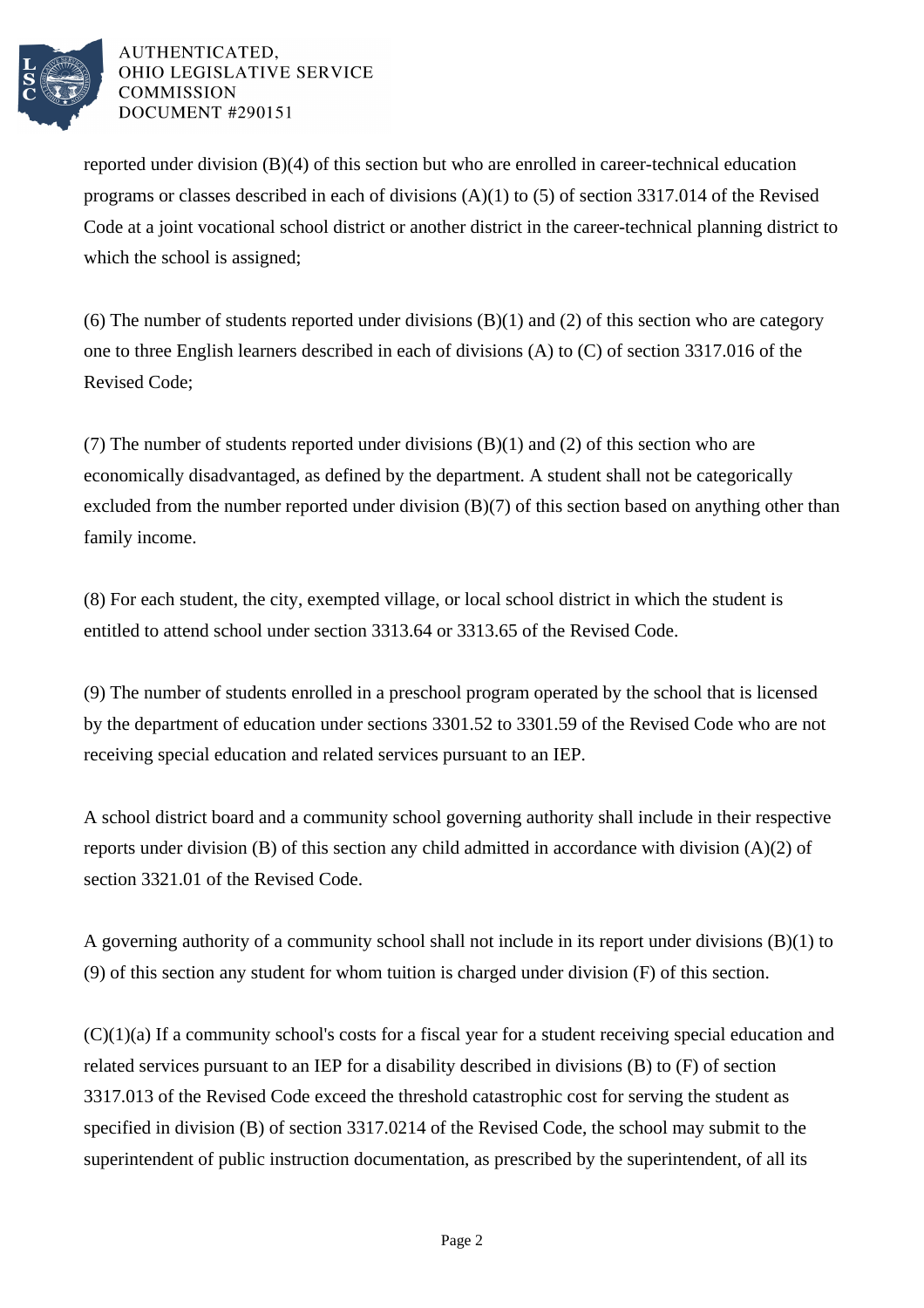

reported under division (B)(4) of this section but who are enrolled in career-technical education programs or classes described in each of divisions (A)(1) to (5) of section 3317.014 of the Revised Code at a joint vocational school district or another district in the career-technical planning district to which the school is assigned;

(6) The number of students reported under divisions  $(B)(1)$  and  $(2)$  of this section who are category one to three English learners described in each of divisions (A) to (C) of section 3317.016 of the Revised Code;

(7) The number of students reported under divisions (B)(1) and (2) of this section who are economically disadvantaged, as defined by the department. A student shall not be categorically excluded from the number reported under division  $(B)(7)$  of this section based on anything other than family income.

(8) For each student, the city, exempted village, or local school district in which the student is entitled to attend school under section 3313.64 or 3313.65 of the Revised Code.

(9) The number of students enrolled in a preschool program operated by the school that is licensed by the department of education under sections 3301.52 to 3301.59 of the Revised Code who are not receiving special education and related services pursuant to an IEP.

A school district board and a community school governing authority shall include in their respective reports under division (B) of this section any child admitted in accordance with division (A)(2) of section 3321.01 of the Revised Code.

A governing authority of a community school shall not include in its report under divisions (B)(1) to (9) of this section any student for whom tuition is charged under division (F) of this section.

 $(C)(1)(a)$  If a community school's costs for a fiscal year for a student receiving special education and related services pursuant to an IEP for a disability described in divisions (B) to (F) of section 3317.013 of the Revised Code exceed the threshold catastrophic cost for serving the student as specified in division (B) of section 3317.0214 of the Revised Code, the school may submit to the superintendent of public instruction documentation, as prescribed by the superintendent, of all its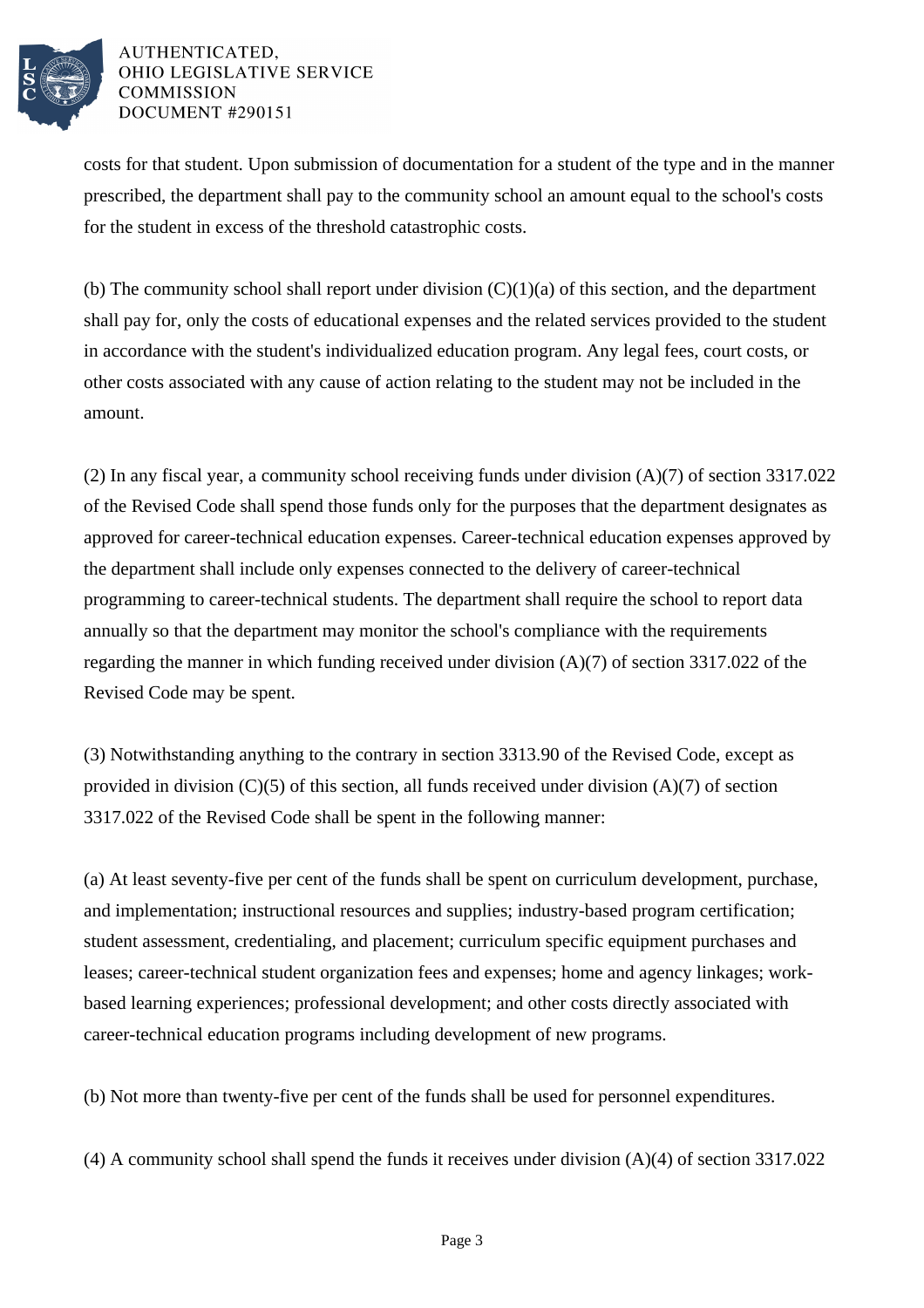

costs for that student. Upon submission of documentation for a student of the type and in the manner prescribed, the department shall pay to the community school an amount equal to the school's costs for the student in excess of the threshold catastrophic costs.

(b) The community school shall report under division  $(C)(1)(a)$  of this section, and the department shall pay for, only the costs of educational expenses and the related services provided to the student in accordance with the student's individualized education program. Any legal fees, court costs, or other costs associated with any cause of action relating to the student may not be included in the amount.

(2) In any fiscal year, a community school receiving funds under division (A)(7) of section 3317.022 of the Revised Code shall spend those funds only for the purposes that the department designates as approved for career-technical education expenses. Career-technical education expenses approved by the department shall include only expenses connected to the delivery of career-technical programming to career-technical students. The department shall require the school to report data annually so that the department may monitor the school's compliance with the requirements regarding the manner in which funding received under division (A)(7) of section 3317.022 of the Revised Code may be spent.

(3) Notwithstanding anything to the contrary in section 3313.90 of the Revised Code, except as provided in division  $(C)(5)$  of this section, all funds received under division  $(A)(7)$  of section 3317.022 of the Revised Code shall be spent in the following manner:

(a) At least seventy-five per cent of the funds shall be spent on curriculum development, purchase, and implementation; instructional resources and supplies; industry-based program certification; student assessment, credentialing, and placement; curriculum specific equipment purchases and leases; career-technical student organization fees and expenses; home and agency linkages; workbased learning experiences; professional development; and other costs directly associated with career-technical education programs including development of new programs.

(b) Not more than twenty-five per cent of the funds shall be used for personnel expenditures.

(4) A community school shall spend the funds it receives under division (A)(4) of section 3317.022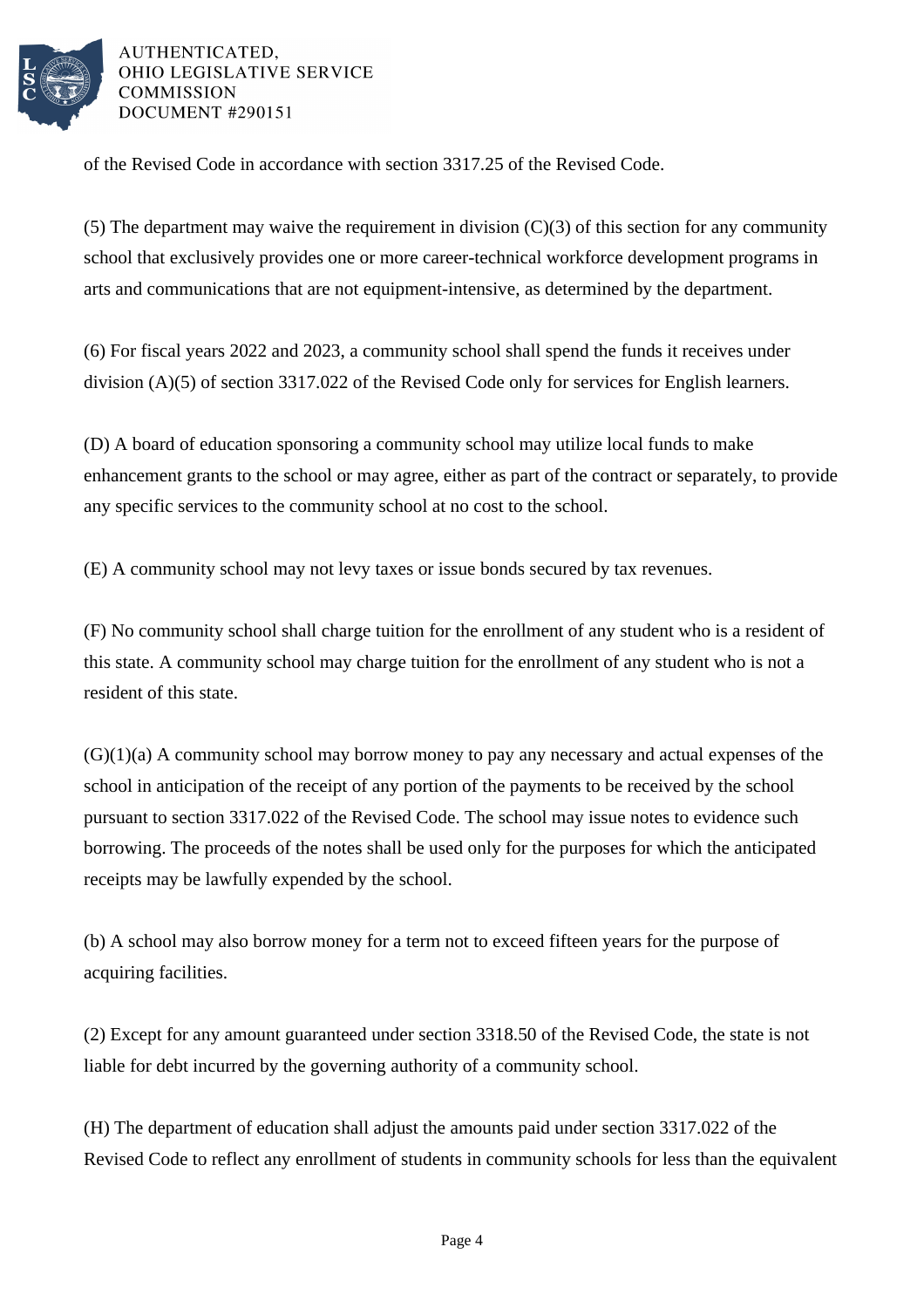

of the Revised Code in accordance with section 3317.25 of the Revised Code.

(5) The department may waive the requirement in division  $(C)(3)$  of this section for any community school that exclusively provides one or more career-technical workforce development programs in arts and communications that are not equipment-intensive, as determined by the department.

(6) For fiscal years 2022 and 2023, a community school shall spend the funds it receives under division (A)(5) of section 3317.022 of the Revised Code only for services for English learners.

(D) A board of education sponsoring a community school may utilize local funds to make enhancement grants to the school or may agree, either as part of the contract or separately, to provide any specific services to the community school at no cost to the school.

(E) A community school may not levy taxes or issue bonds secured by tax revenues.

(F) No community school shall charge tuition for the enrollment of any student who is a resident of this state. A community school may charge tuition for the enrollment of any student who is not a resident of this state.

 $(G)(1)(a)$  A community school may borrow money to pay any necessary and actual expenses of the school in anticipation of the receipt of any portion of the payments to be received by the school pursuant to section 3317.022 of the Revised Code. The school may issue notes to evidence such borrowing. The proceeds of the notes shall be used only for the purposes for which the anticipated receipts may be lawfully expended by the school.

(b) A school may also borrow money for a term not to exceed fifteen years for the purpose of acquiring facilities.

(2) Except for any amount guaranteed under section 3318.50 of the Revised Code, the state is not liable for debt incurred by the governing authority of a community school.

(H) The department of education shall adjust the amounts paid under section 3317.022 of the Revised Code to reflect any enrollment of students in community schools for less than the equivalent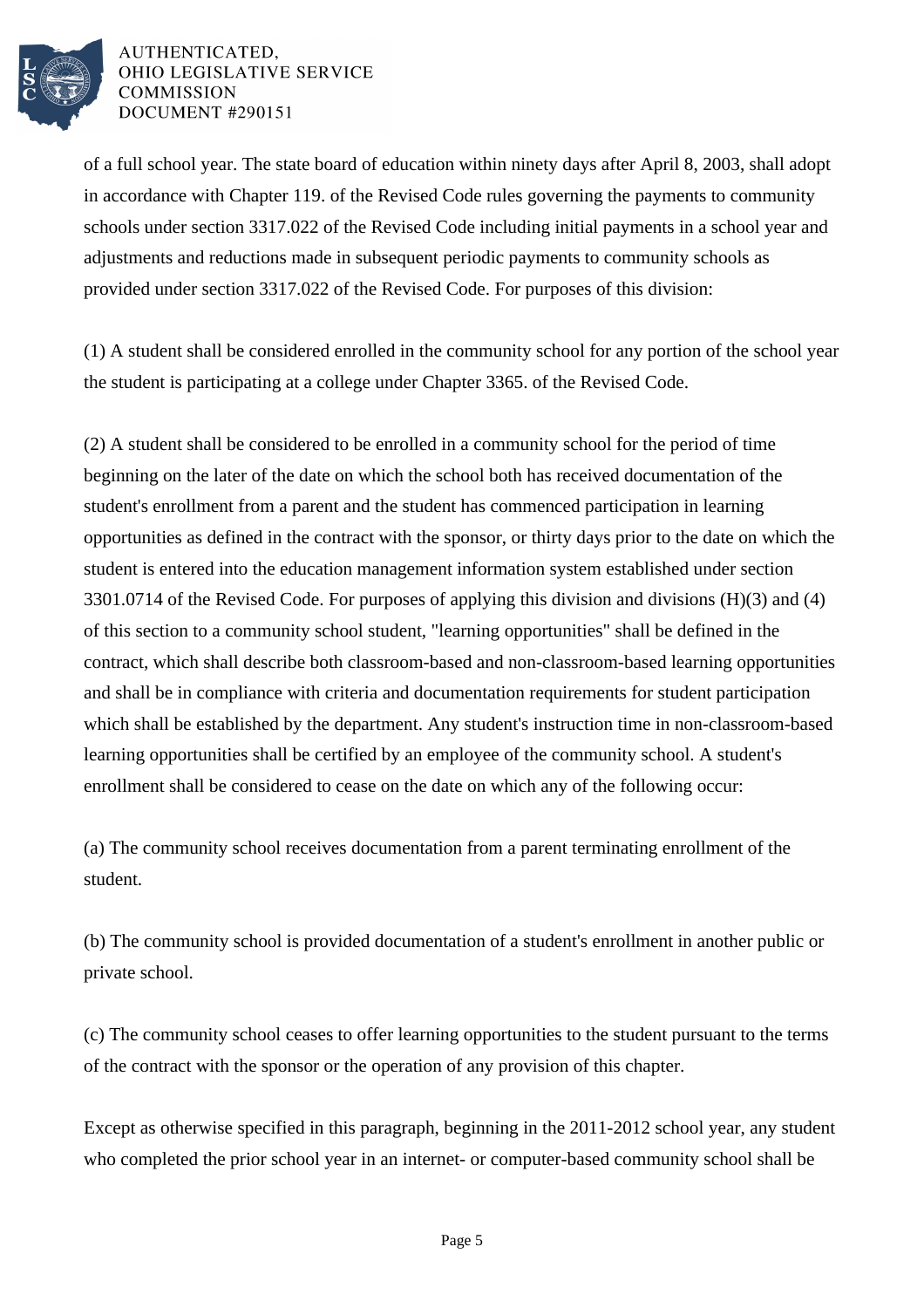

of a full school year. The state board of education within ninety days after April 8, 2003, shall adopt in accordance with Chapter 119. of the Revised Code rules governing the payments to community schools under section 3317.022 of the Revised Code including initial payments in a school year and adjustments and reductions made in subsequent periodic payments to community schools as provided under section 3317.022 of the Revised Code. For purposes of this division:

(1) A student shall be considered enrolled in the community school for any portion of the school year the student is participating at a college under Chapter 3365. of the Revised Code.

(2) A student shall be considered to be enrolled in a community school for the period of time beginning on the later of the date on which the school both has received documentation of the student's enrollment from a parent and the student has commenced participation in learning opportunities as defined in the contract with the sponsor, or thirty days prior to the date on which the student is entered into the education management information system established under section 3301.0714 of the Revised Code. For purposes of applying this division and divisions (H)(3) and (4) of this section to a community school student, "learning opportunities" shall be defined in the contract, which shall describe both classroom-based and non-classroom-based learning opportunities and shall be in compliance with criteria and documentation requirements for student participation which shall be established by the department. Any student's instruction time in non-classroom-based learning opportunities shall be certified by an employee of the community school. A student's enrollment shall be considered to cease on the date on which any of the following occur:

(a) The community school receives documentation from a parent terminating enrollment of the student.

(b) The community school is provided documentation of a student's enrollment in another public or private school.

(c) The community school ceases to offer learning opportunities to the student pursuant to the terms of the contract with the sponsor or the operation of any provision of this chapter.

Except as otherwise specified in this paragraph, beginning in the 2011-2012 school year, any student who completed the prior school year in an internet- or computer-based community school shall be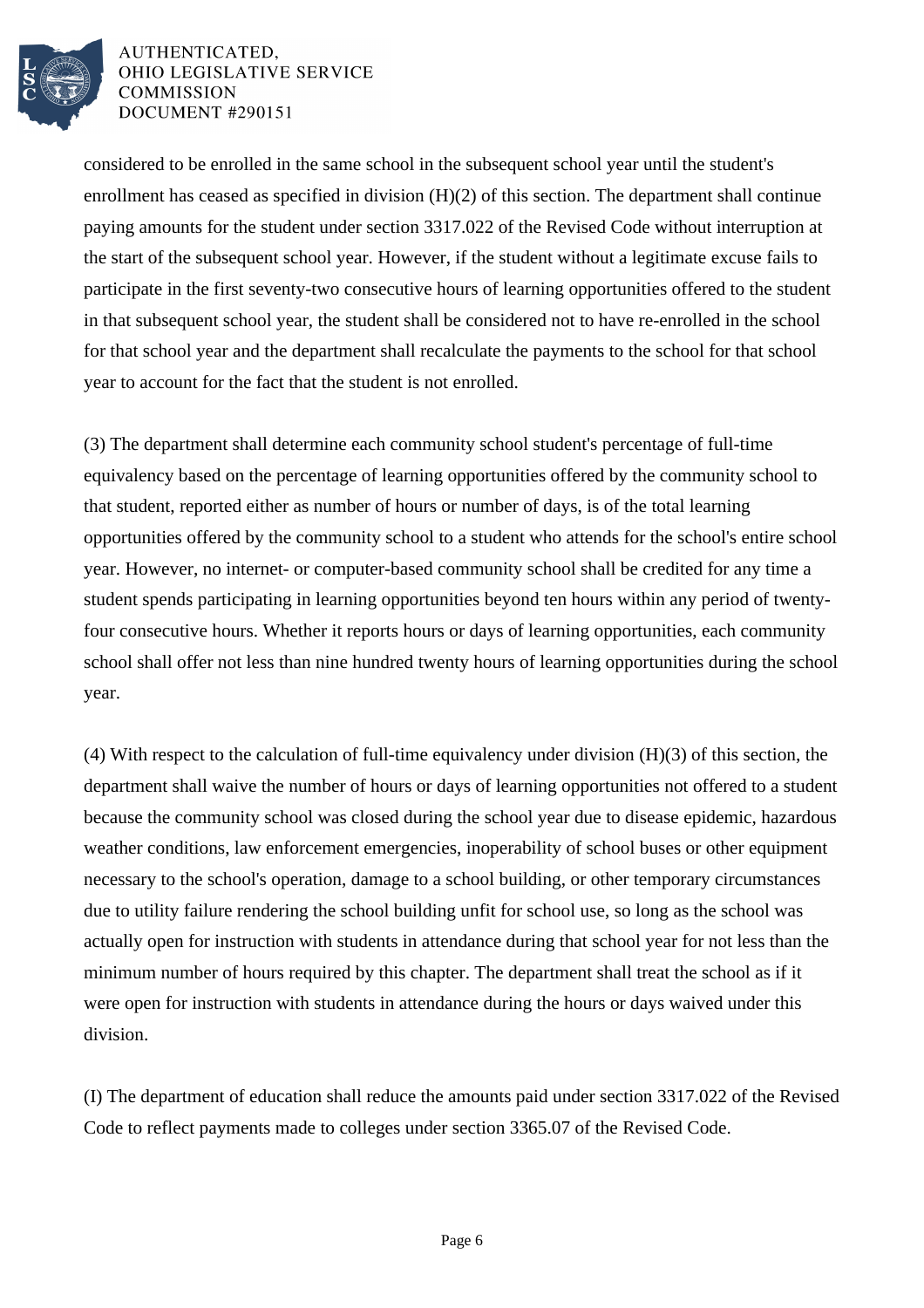

considered to be enrolled in the same school in the subsequent school year until the student's enrollment has ceased as specified in division (H)(2) of this section. The department shall continue paying amounts for the student under section 3317.022 of the Revised Code without interruption at the start of the subsequent school year. However, if the student without a legitimate excuse fails to participate in the first seventy-two consecutive hours of learning opportunities offered to the student in that subsequent school year, the student shall be considered not to have re-enrolled in the school for that school year and the department shall recalculate the payments to the school for that school year to account for the fact that the student is not enrolled.

(3) The department shall determine each community school student's percentage of full-time equivalency based on the percentage of learning opportunities offered by the community school to that student, reported either as number of hours or number of days, is of the total learning opportunities offered by the community school to a student who attends for the school's entire school year. However, no internet- or computer-based community school shall be credited for any time a student spends participating in learning opportunities beyond ten hours within any period of twentyfour consecutive hours. Whether it reports hours or days of learning opportunities, each community school shall offer not less than nine hundred twenty hours of learning opportunities during the school year.

(4) With respect to the calculation of full-time equivalency under division (H)(3) of this section, the department shall waive the number of hours or days of learning opportunities not offered to a student because the community school was closed during the school year due to disease epidemic, hazardous weather conditions, law enforcement emergencies, inoperability of school buses or other equipment necessary to the school's operation, damage to a school building, or other temporary circumstances due to utility failure rendering the school building unfit for school use, so long as the school was actually open for instruction with students in attendance during that school year for not less than the minimum number of hours required by this chapter. The department shall treat the school as if it were open for instruction with students in attendance during the hours or days waived under this division.

(I) The department of education shall reduce the amounts paid under section 3317.022 of the Revised Code to reflect payments made to colleges under section 3365.07 of the Revised Code.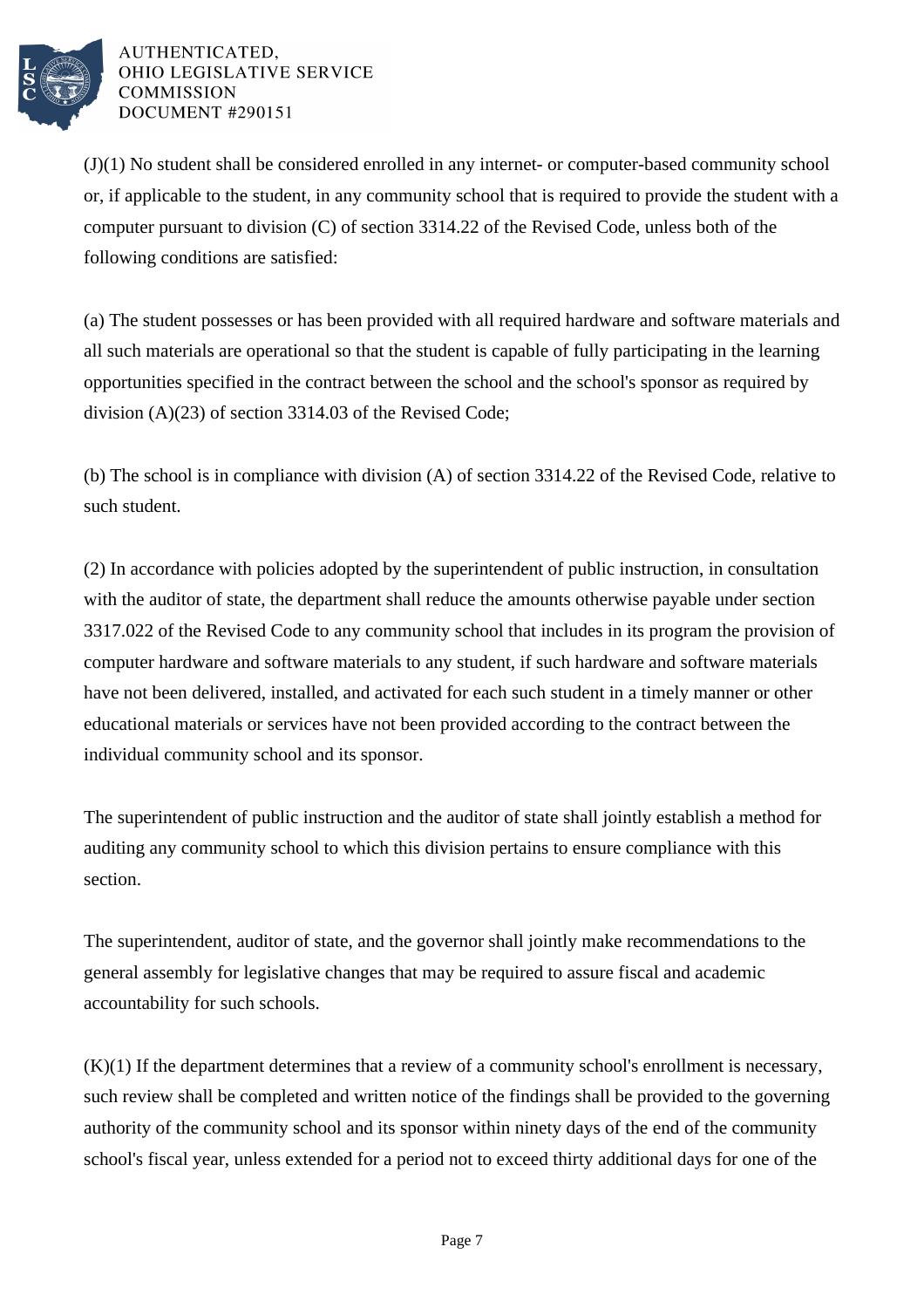

(J)(1) No student shall be considered enrolled in any internet- or computer-based community school or, if applicable to the student, in any community school that is required to provide the student with a computer pursuant to division (C) of section 3314.22 of the Revised Code, unless both of the following conditions are satisfied:

(a) The student possesses or has been provided with all required hardware and software materials and all such materials are operational so that the student is capable of fully participating in the learning opportunities specified in the contract between the school and the school's sponsor as required by division (A)(23) of section 3314.03 of the Revised Code;

(b) The school is in compliance with division (A) of section 3314.22 of the Revised Code, relative to such student.

(2) In accordance with policies adopted by the superintendent of public instruction, in consultation with the auditor of state, the department shall reduce the amounts otherwise payable under section 3317.022 of the Revised Code to any community school that includes in its program the provision of computer hardware and software materials to any student, if such hardware and software materials have not been delivered, installed, and activated for each such student in a timely manner or other educational materials or services have not been provided according to the contract between the individual community school and its sponsor.

The superintendent of public instruction and the auditor of state shall jointly establish a method for auditing any community school to which this division pertains to ensure compliance with this section.

The superintendent, auditor of state, and the governor shall jointly make recommendations to the general assembly for legislative changes that may be required to assure fiscal and academic accountability for such schools.

 $(K)(1)$  If the department determines that a review of a community school's enrollment is necessary, such review shall be completed and written notice of the findings shall be provided to the governing authority of the community school and its sponsor within ninety days of the end of the community school's fiscal year, unless extended for a period not to exceed thirty additional days for one of the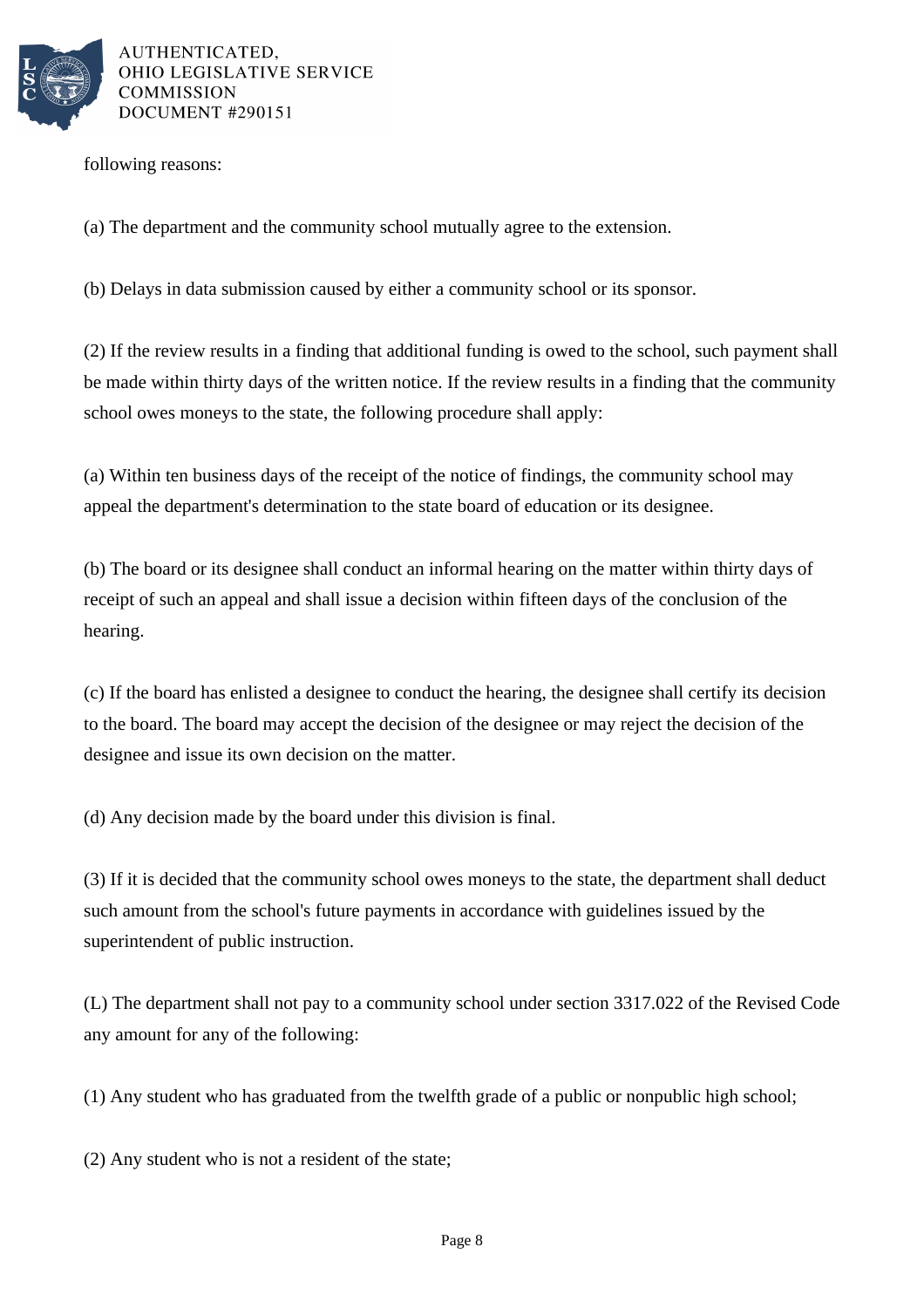

following reasons:

(a) The department and the community school mutually agree to the extension.

(b) Delays in data submission caused by either a community school or its sponsor.

(2) If the review results in a finding that additional funding is owed to the school, such payment shall be made within thirty days of the written notice. If the review results in a finding that the community school owes moneys to the state, the following procedure shall apply:

(a) Within ten business days of the receipt of the notice of findings, the community school may appeal the department's determination to the state board of education or its designee.

(b) The board or its designee shall conduct an informal hearing on the matter within thirty days of receipt of such an appeal and shall issue a decision within fifteen days of the conclusion of the hearing.

(c) If the board has enlisted a designee to conduct the hearing, the designee shall certify its decision to the board. The board may accept the decision of the designee or may reject the decision of the designee and issue its own decision on the matter.

(d) Any decision made by the board under this division is final.

(3) If it is decided that the community school owes moneys to the state, the department shall deduct such amount from the school's future payments in accordance with guidelines issued by the superintendent of public instruction.

(L) The department shall not pay to a community school under section 3317.022 of the Revised Code any amount for any of the following:

(1) Any student who has graduated from the twelfth grade of a public or nonpublic high school;

(2) Any student who is not a resident of the state;